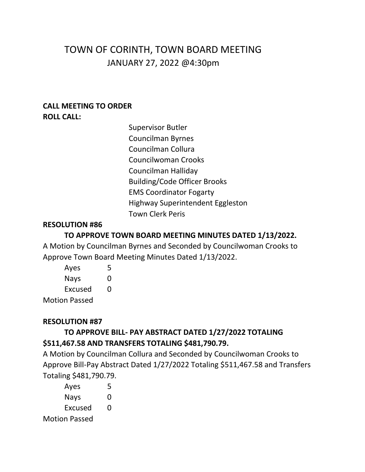# TOWN OF CORINTH, TOWN BOARD MEETING JANUARY 27, 2022 @4:30pm

#### **CALL MEETING TO ORDER ROLL CALL:**

Supervisor Butler Councilman Byrnes Councilman Collura Councilwoman Crooks Councilman Halliday Building/Code Officer Brooks EMS Coordinator Fogarty Highway Superintendent Eggleston Town Clerk Peris

### **RESOLUTION #86**

## **TO APPROVE TOWN BOARD MEETING MINUTES DATED 1/13/2022.**

A Motion by Councilman Byrnes and Seconded by Councilwoman Crooks to Approve Town Board Meeting Minutes Dated 1/13/2022.

| Ayes                 | 5 |
|----------------------|---|
| Nays                 | O |
| Excused              | 0 |
| <b>Motion Passed</b> |   |

## **RESOLUTION #87**

## **TO APPROVE BILL- PAY ABSTRACT DATED 1/27/2022 TOTALING \$511,467.58 AND TRANSFERS TOTALING \$481,790.79.**

A Motion by Councilman Collura and Seconded by Councilwoman Crooks to Approve Bill-Pay Abstract Dated 1/27/2022 Totaling \$511,467.58 and Transfers Totaling \$481,790.79.

| Ayes                 | 5 |
|----------------------|---|
| <b>Nays</b>          | 0 |
| Excused              | O |
| <b>Motion Passed</b> |   |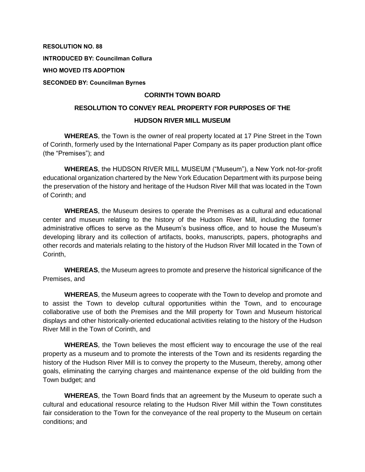**RESOLUTION NO. 88**

**INTRODUCED BY: Councilman Collura**

**WHO MOVED ITS ADOPTION**

**SECONDED BY: Councilman Byrnes**

#### **CORINTH TOWN BOARD**

## **RESOLUTION TO CONVEY REAL PROPERTY FOR PURPOSES OF THE HUDSON RIVER MILL MUSEUM**

**WHEREAS**, the Town is the owner of real property located at 17 Pine Street in the Town of Corinth, formerly used by the International Paper Company as its paper production plant office (the "Premises"); and

**WHEREAS**, the HUDSON RIVER MILL MUSEUM ("Museum"), a New York not-for-profit educational organization chartered by the New York Education Department with its purpose being the preservation of the history and heritage of the Hudson River Mill that was located in the Town of Corinth; and

**WHEREAS**, the Museum desires to operate the Premises as a cultural and educational center and museum relating to the history of the Hudson River Mill, including the former administrative offices to serve as the Museum's business office, and to house the Museum's developing library and its collection of artifacts, books, manuscripts, papers, photographs and other records and materials relating to the history of the Hudson River Mill located in the Town of Corinth,

**WHEREAS**, the Museum agrees to promote and preserve the historical significance of the Premises, and

**WHEREAS**, the Museum agrees to cooperate with the Town to develop and promote and to assist the Town to develop cultural opportunities within the Town, and to encourage collaborative use of both the Premises and the Mill property for Town and Museum historical displays and other historically-oriented educational activities relating to the history of the Hudson River Mill in the Town of Corinth, and

**WHEREAS**, the Town believes the most efficient way to encourage the use of the real property as a museum and to promote the interests of the Town and its residents regarding the history of the Hudson River Mill is to convey the property to the Museum, thereby, among other goals, eliminating the carrying charges and maintenance expense of the old building from the Town budget; and

**WHEREAS**, the Town Board finds that an agreement by the Museum to operate such a cultural and educational resource relating to the Hudson River Mill within the Town constitutes fair consideration to the Town for the conveyance of the real property to the Museum on certain conditions; and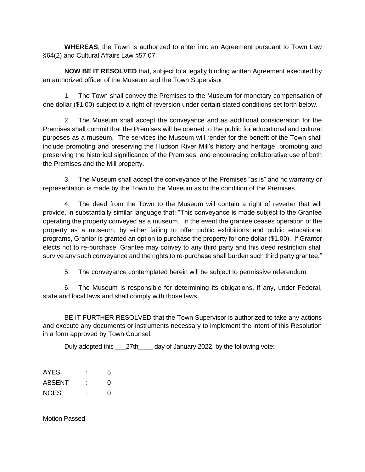**WHEREAS**, the Town is authorized to enter into an Agreement pursuant to Town Law §64(2) and Cultural Affairs Law §57.07;

**NOW BE IT RESOLVED** that, subject to a legally binding written Agreement executed by an authorized officer of the Museum and the Town Supervisor:

1. The Town shall convey the Premises to the Museum for monetary compensation of one dollar (\$1.00) subject to a right of reversion under certain stated conditions set forth below.

2. The Museum shall accept the conveyance and as additional consideration for the Premises shall commit that the Premises will be opened to the public for educational and cultural purposes as a museum. The services the Museum will render for the benefit of the Town shall include promoting and preserving the Hudson River Mill's history and heritage, promoting and preserving the historical significance of the Premises, and encouraging collaborative use of both the Premises and the Mill property.

3. The Museum shall accept the conveyance of the Premises "as is" and no warranty or representation is made by the Town to the Museum as to the condition of the Premises.

4. The deed from the Town to the Museum will contain a right of reverter that will provide, in substantially similar language that: "This conveyance is made subject to the Grantee operating the property conveyed as a museum. In the event the grantee ceases operation of the property as a museum, by either failing to offer public exhibitions and public educational programs, Grantor is granted an option to purchase the property for one dollar (\$1.00). If Grantor elects not to re-purchase, Grantee may convey to any third party and this deed restriction shall survive any such conveyance and the rights to re-purchase shall burden such third party grantee."

5. The conveyance contemplated herein will be subject to permissive referendum.

6. The Museum is responsible for determining its obligations, if any, under Federal, state and local laws and shall comply with those laws.

BE IT FURTHER RESOLVED that the Town Supervisor is authorized to take any actions and execute any documents or instruments necessary to implement the intent of this Resolution in a form approved by Town Counsel.

Duly adopted this \_\_\_27th\_\_\_\_ day of January 2022, by the following vote:

| AYES          | ٠ | 5 |
|---------------|---|---|
| <b>ABSENT</b> |   | O |
| <b>NOES</b>   | ٠ | O |

Motion Passed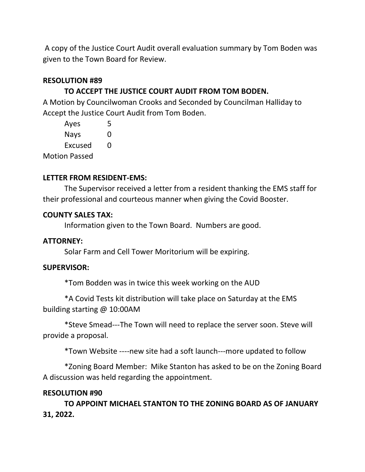A copy of the Justice Court Audit overall evaluation summary by Tom Boden was given to the Town Board for Review.

## **RESOLUTION #89**

## **TO ACCEPT THE JUSTICE COURT AUDIT FROM TOM BODEN.**

A Motion by Councilwoman Crooks and Seconded by Councilman Halliday to Accept the Justice Court Audit from Tom Boden.

| Ayes                 | 5 |
|----------------------|---|
| Nays                 | O |
| Excused              | O |
| <b>Motion Passed</b> |   |

## **LETTER FROM RESIDENT-EMS:**

The Supervisor received a letter from a resident thanking the EMS staff for their professional and courteous manner when giving the Covid Booster.

#### **COUNTY SALES TAX:**

Information given to the Town Board. Numbers are good.

## **ATTORNEY:**

Solar Farm and Cell Tower Moritorium will be expiring.

#### **SUPERVISOR:**

\*Tom Bodden was in twice this week working on the AUD

\*A Covid Tests kit distribution will take place on Saturday at the EMS building starting @ 10:00AM

\*Steve Smead---The Town will need to replace the server soon. Steve will provide a proposal.

\*Town Website ----new site had a soft launch---more updated to follow

\*Zoning Board Member: Mike Stanton has asked to be on the Zoning Board A discussion was held regarding the appointment.

## **RESOLUTION #90**

**TO APPOINT MICHAEL STANTON TO THE ZONING BOARD AS OF JANUARY 31, 2022.**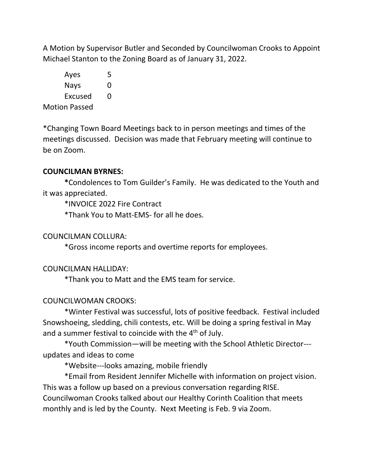A Motion by Supervisor Butler and Seconded by Councilwoman Crooks to Appoint Michael Stanton to the Zoning Board as of January 31, 2022.

Ayes 5 Nays 0 Excused 0 Motion Passed

\*Changing Town Board Meetings back to in person meetings and times of the meetings discussed. Decision was made that February meeting will continue to be on Zoom.

## **COUNCILMAN BYRNES:**

**\***Condolences to Tom Guilder's Family.He was dedicated to the Youth and it was appreciated.

\*INVOICE 2022 Fire Contract

\*Thank You to Matt-EMS- for all he does.

## COUNCILMAN COLLURA:

\*Gross income reports and overtime reports for employees.

#### COUNCILMAN HALLIDAY:

\*Thank you to Matt and the EMS team for service.

## COUNCILWOMAN CROOKS:

\*Winter Festival was successful, lots of positive feedback. Festival included Snowshoeing, sledding, chili contests, etc. Will be doing a spring festival in May and a summer festival to coincide with the  $4<sup>th</sup>$  of July.

\*Youth Commission—will be meeting with the School Athletic Director-- updates and ideas to come

\*Website---looks amazing, mobile friendly

\*Email from Resident Jennifer Michelle with information on project vision. This was a follow up based on a previous conversation regarding RISE. Councilwoman Crooks talked about our Healthy Corinth Coalition that meets monthly and is led by the County. Next Meeting is Feb. 9 via Zoom.